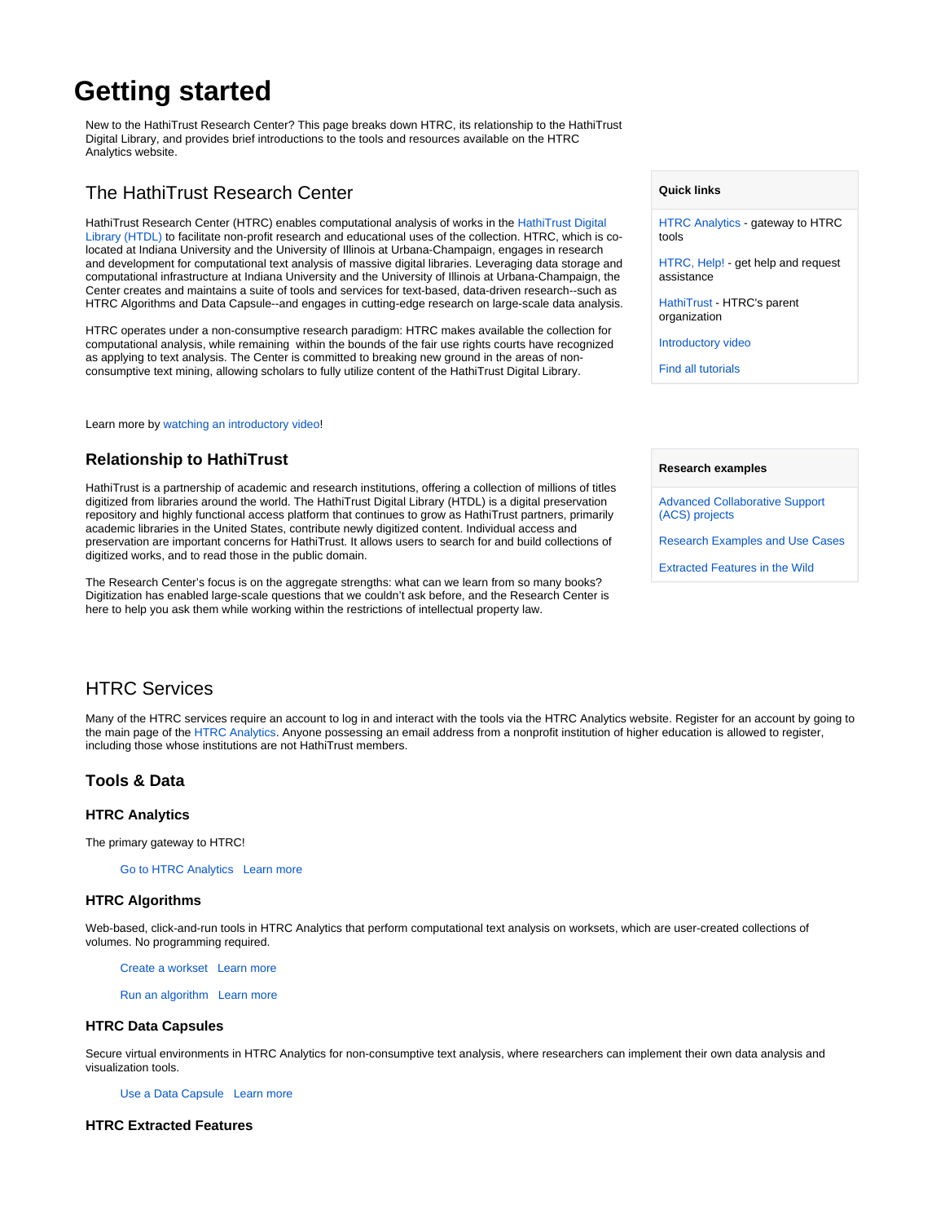# **Getting started**

New to the HathiTrust Research Center? This page breaks down HTRC, its relationship to the HathiTrust Digital Library, and provides brief introductions to the tools and resources available on the HTRC Analytics website.

# The HathiTrust Research Center

HathiTrust Research Center (HTRC) enables computational analysis of works in the [HathiTrust Digital](https://www.hathitrust.org/)  [Library \(HTDL\)](https://www.hathitrust.org/) to facilitate non-profit research and educational uses of the collection. HTRC, which is colocated at Indiana University and the University of Illinois at Urbana-Champaign, engages in research and development for computational text analysis of massive digital libraries. Leveraging data storage and computational infrastructure at Indiana University and the University of Illinois at Urbana-Champaign, the Center creates and maintains a suite of tools and services for text-based, data-driven research--such as HTRC Algorithms and Data Capsule--and engages in cutting-edge research on large-scale data analysis.

HTRC operates under a non-consumptive research paradigm: HTRC makes available the collection for computational analysis, while remaining within the bounds of the fair use rights courts have recognized as applying to text analysis. The Center is committed to breaking new ground in the areas of nonconsumptive text mining, allowing scholars to fully utilize content of the HathiTrust Digital Library.

Learn more by [watching an introductory video](https://youtu.be/Vq6E9u67GnM)!

# **Relationship to HathiTrust**

HathiTrust is a partnership of academic and research institutions, offering a collection of millions of titles digitized from libraries around the world. The HathiTrust Digital Library (HTDL) is a digital preservation repository and highly functional access platform that continues to grow as HathiTrust partners, primarily academic libraries in the United States, contribute newly digitized content. Individual access and preservation are important concerns for HathiTrust. It allows users to search for and build collections of digitized works, and to read those in the public domain.

The Research Center's focus is on the aggregate strengths: what can we learn from so many books? Digitization has enabled large-scale questions that we couldn't ask before, and the Research Center is here to help you ask them while working within the restrictions of intellectual property law.

#### **Quick links**

[HTRC Analytics](https://analytics.hathitrust.org/) - gateway to HTRC tools

[HTRC, Help!](https://wiki.htrc.illinois.edu/pages/viewpage.action?pageId=55771139) - get help and request assistance

[HathiTrust](https://www.hathitrust.org/) - HTRC's parent organization

[Introductory video](https://youtu.be/Vq6E9u67GnM)

[Find all tutorials](https://wiki.htrc.illinois.edu/display/COM/All+HTRC+Tutorials)

#### **Research examples**

[Advanced Collaborative Support](https://wiki.htrc.illinois.edu/pages/viewpage.action?pageId=30408833)  [\(ACS\) projects](https://wiki.htrc.illinois.edu/pages/viewpage.action?pageId=30408833)

[Research Examples and Use Cases](https://wiki.htrc.illinois.edu/display/COM/Examples+and+Use+Cases)

[Extracted Features in the Wild](https://wiki.htrc.illinois.edu/display/COM/Extracted+Features+in+the+Wild)

# HTRC Services

Many of the HTRC services require an account to log in and interact with the tools via the HTRC Analytics website. Register for an account by going to the main page of the [HTRC Analytics.](https://analytics.hathitrust.org/) Anyone possessing an email address from a nonprofit institution of higher education is allowed to register, including those whose institutions are not HathiTrust members.

# **Tools & Data**

#### **HTRC Analytics**

The primary gateway to HTRC!

[Go to HTRC Analytics](https://analytics.hathitrust.org/) [Learn more](https://wiki.htrc.illinois.edu/display/COM/HTRC+Analytics+Overview)

#### **HTRC Algorithms**

Web-based, click-and-run tools in HTRC Analytics that perform computational text analysis on worksets, which are user-created collections of volumes. No programming required.

[Create a workset](https://analytics.hathitrust.org/staticworksets) [Learn more](https://wiki.htrc.illinois.edu/display/COM/HTRC+Worksets)

[Run an algorithm](https://analytics.hathitrust.org/statisticalalgorithms) [Learn more](https://wiki.htrc.illinois.edu/display/COM/HTRC+Analytics+Algorithms)

#### **HTRC Data Capsules**

Secure virtual environments in HTRC Analytics for non-consumptive text analysis, where researchers can implement their own data analysis and visualization tools.

[Use a Data Capsule](https://analytics.hathitrust.org/staticcapsules) [Learn more](https://wiki.htrc.illinois.edu/display/COM/HTRC+Data+Capsule+Environment)

## **HTRC Extracted Features**